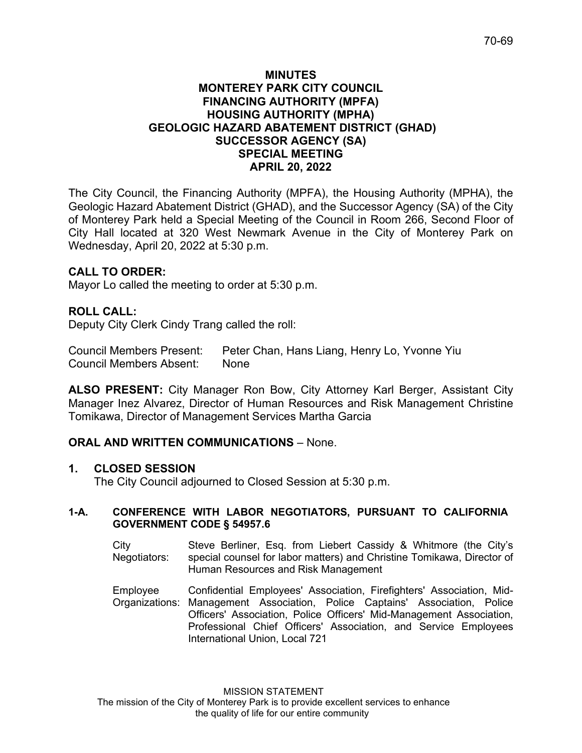#### **MINUTES MONTEREY PARK CITY COUNCIL FINANCING AUTHORITY (MPFA) HOUSING AUTHORITY (MPHA) GEOLOGIC HAZARD ABATEMENT DISTRICT (GHAD) SUCCESSOR AGENCY (SA) SPECIAL MEETING APRIL 20, 2022**

The City Council, the Financing Authority (MPFA), the Housing Authority (MPHA), the Geologic Hazard Abatement District (GHAD), and the Successor Agency (SA) of the City of Monterey Park held a Special Meeting of the Council in Room 266, Second Floor of City Hall located at 320 West Newmark Avenue in the City of Monterey Park on Wednesday, April 20, 2022 at 5:30 p.m.

## **CALL TO ORDER:**

Mayor Lo called the meeting to order at 5:30 p.m.

### **ROLL CALL:**

Deputy City Clerk Cindy Trang called the roll:

Council Members Present: Peter Chan, Hans Liang, Henry Lo, Yvonne Yiu Council Members Absent: None

**ALSO PRESENT:** City Manager Ron Bow, City Attorney Karl Berger, Assistant City Manager Inez Alvarez, Director of Human Resources and Risk Management Christine Tomikawa, Director of Management Services Martha Garcia

### **ORAL AND WRITTEN COMMUNICATIONS** – None.

### **1. CLOSED SESSION**

The City Council adjourned to Closed Session at 5:30 p.m.

#### **1-A. CONFERENCE WITH LABOR NEGOTIATORS, PURSUANT TO CALIFORNIA GOVERNMENT CODE § 54957.6**

- City Negotiators: Steve Berliner, Esq. from Liebert Cassidy & Whitmore (the City's special counsel for labor matters) and Christine Tomikawa, Director of Human Resources and Risk Management
- Employee Organizations: Management Association, Police Captains' Association, Police Confidential Employees' Association, Firefighters' Association, Mid-Officers' Association, Police Officers' Mid-Management Association, Professional Chief Officers' Association, and Service Employees International Union, Local 721